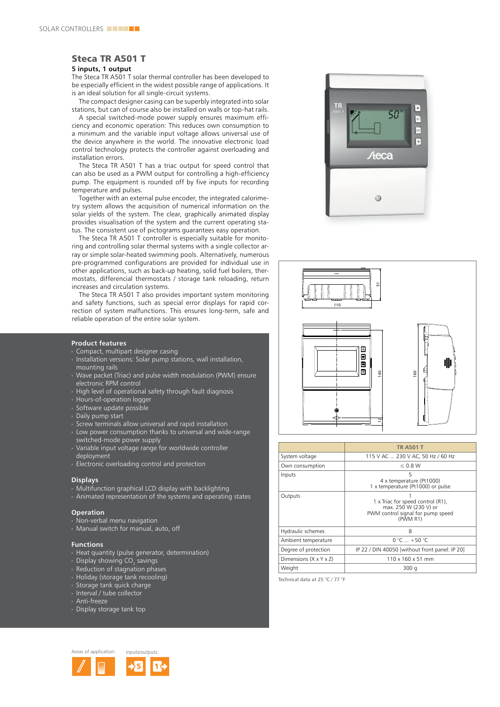## Steca TR A501 T

### **5 inputs, 1 output**

The Steca TR A501 T solar thermal controller has been developed to be especially efficient in the widest possible range of applications. It is an ideal solution for all single-circuit systems.

The compact designer casing can be superbly integrated into solar stations, but can of course also be installed on walls or top-hat rails.

a special switched-mode power supply ensures maximum efficiency and economic operation: this reduces own consumption to a minimum and the variable input voltage allows universal use of the device anywhere in the world. The innovative electronic load control technology protects the controller against overloading and installation errors.

The Steca TR A501 T has a triac output for speed control that can also be used as a PWM output for controlling a high-efficiency pump. The equipment is rounded off by five inputs for recording temperature and pulses.

together with an external pulse encoder, the integrated calorimetry system allows the acquisition of numerical information on the solar yields of the system. The clear, graphically animated display provides visualisation of the system and the current operating status. the consistent use of pictograms guarantees easy operation.

The Steca TR A501 T controller is especially suitable for monitoring and controlling solar thermal systems with a single collector array or simple solar-heated swimming pools. Alternatively, numerous pre-programmed configurations are provided for individual use in other applications, such as back-up heating, solid fuel boilers, thermostats, differencial thermostats / storage tank reloading, return increases and circulation systems.

The Steca TR A501 T also provides important system monitoring and safety functions, such as special error displays for rapid correction of system malfunctions. This ensures long-term, safe and reliable operation of the entire solar system.

#### **Product features**

- ∙ compact, multipart designer casing
- ∙ Installation versions: Solar pump stations, wall installation, mounting rails
- ∙ Wave packet (Triac) and pulse width modulation (PWM) ensure electronic RPM control
- ∙ High level of operational safety through fault diagnosis
- ∙ Hours-of-operation logger
- ∙ Software update possible
- ∙ Daily pump start
- ∙ Screw terminals allow universal and rapid installation
- ∙ low power consumption thanks to universal and wide-range switched-mode power supply
- ∙ Variable input voltage range for worldwide controller deployment
- ∙ electronic overloading control and protection

#### **Displays**

- ∙ Multifunction graphical LCD display with backlighting
- ∙ animated representation of the systems and operating states

#### **Operation**

- ∙ non-verbal menu navigation
- ∙ Manual switch for manual, auto, off

#### **Functions**

- ∙ Heat quantity (pulse generator, determination)
- ∙ Display showing CO $_2^{\,}$  savings
- ∙ Reduction of stagnation phases
- ∙ Holiday (storage tank recooling)
- ∙ Storage tank quick charge
- ∙ Interval / tube collector
- ∙ anti-freeze
- ∙ Display storage tank top







|                                    | <b>TR A501 T</b>                                                                                            |
|------------------------------------|-------------------------------------------------------------------------------------------------------------|
| System voltage                     | 115 V AC  230 V AC, 50 Hz / 60 Hz                                                                           |
| Own consumption                    | $\leq 0.8$ W                                                                                                |
| Inputs                             | 5<br>4 x temperature (Pt1000)<br>1 x temperature (Pt1000) or pulse                                          |
| Outputs                            | 1 x Triac for speed control (R1),<br>max. 250 W (230 V) or<br>PWM control signal for pump speed<br>(PWM R1) |
| Hydraulic schemes                  | 8                                                                                                           |
| Ambient temperature                | $0 °C  + 50 °C$                                                                                             |
| Degree of protection               | IP 22 / DIN 40050 [without front panel: IP 20]                                                              |
| Dimensions $(X \times Y \times Z)$ | 110 x 160 x 51 mm                                                                                           |
| Weight                             | 300 g                                                                                                       |

Technical data at 25 °C / 77 °F